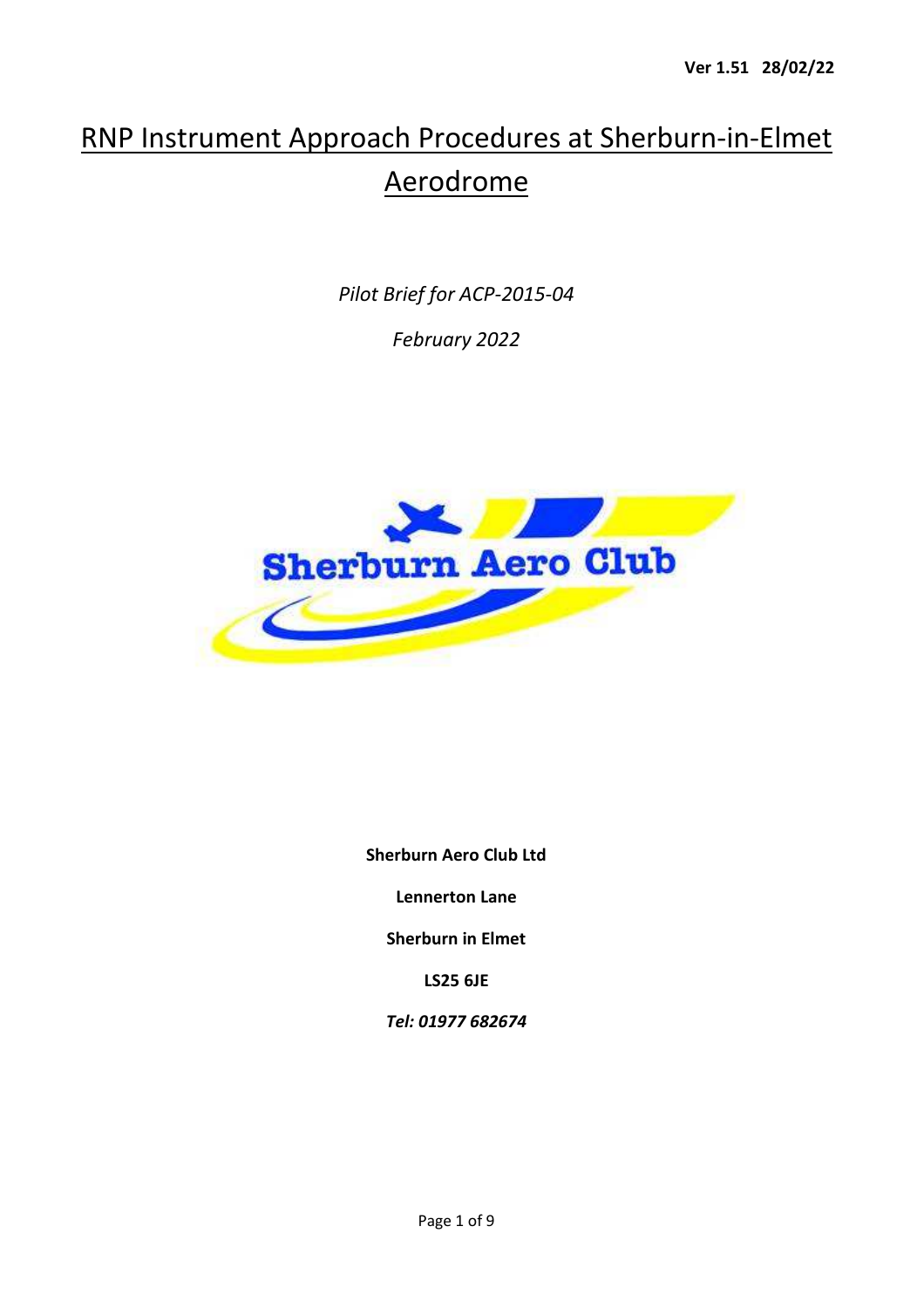## RNP Instrument Approach Procedures at Sherburn-in-Elmet Aerodrome

*Pilot Brief for ACP-2015-04* 

*February 2022* 



**Sherburn Aero Club Ltd** 

**Lennerton Lane** 

**Sherburn in Elmet** 

**LS25 6JE** 

*Tel: 01977 682674*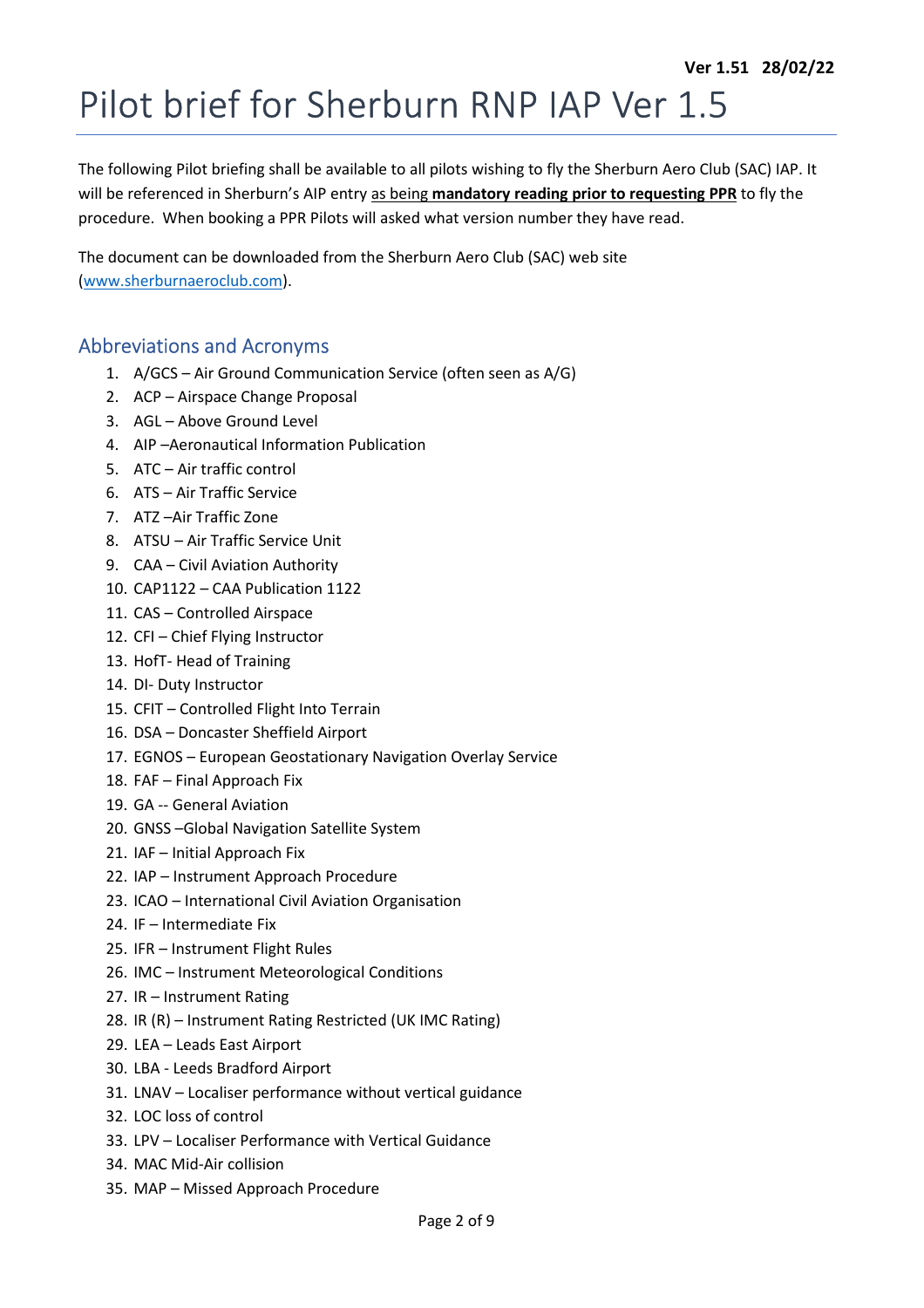# Pilot brief for Sherburn RNP IAP Ver 1.5

The following Pilot briefing shall be available to all pilots wishing to fly the Sherburn Aero Club (SAC) IAP. It will be referenced in Sherburn's AIP entry as being **mandatory reading prior to requesting PPR** to fly the procedure. When booking a PPR Pilots will asked what version number they have read.

The document can be downloaded from the Sherburn Aero Club (SAC) web site (www.sherburnaeroclub.com).

## Abbreviations and Acronyms

- 1. A/GCS Air Ground Communication Service (often seen as A/G)
- 2. ACP Airspace Change Proposal
- 3. AGL Above Ground Level
- 4. AIP –Aeronautical Information Publication
- 5. ATC Air traffic control
- 6. ATS Air Traffic Service
- 7. ATZ –Air Traffic Zone
- 8. ATSU Air Traffic Service Unit
- 9. CAA Civil Aviation Authority
- 10. CAP1122 CAA Publication 1122
- 11. CAS Controlled Airspace
- 12. CFI Chief Flying Instructor
- 13. HofT- Head of Training
- 14. DI- Duty Instructor
- 15. CFIT Controlled Flight Into Terrain
- 16. DSA Doncaster Sheffield Airport
- 17. EGNOS European Geostationary Navigation Overlay Service
- 18. FAF Final Approach Fix
- 19. GA -- General Aviation
- 20. GNSS –Global Navigation Satellite System
- 21. IAF Initial Approach Fix
- 22. IAP Instrument Approach Procedure
- 23. ICAO International Civil Aviation Organisation
- 24. IF Intermediate Fix
- 25. IFR Instrument Flight Rules
- 26. IMC Instrument Meteorological Conditions
- 27. IR Instrument Rating
- 28. IR (R) Instrument Rating Restricted (UK IMC Rating)
- 29. LEA Leads East Airport
- 30. LBA Leeds Bradford Airport
- 31. LNAV Localiser performance without vertical guidance
- 32. LOC loss of control
- 33. LPV Localiser Performance with Vertical Guidance
- 34. MAC Mid-Air collision
- 35. MAP Missed Approach Procedure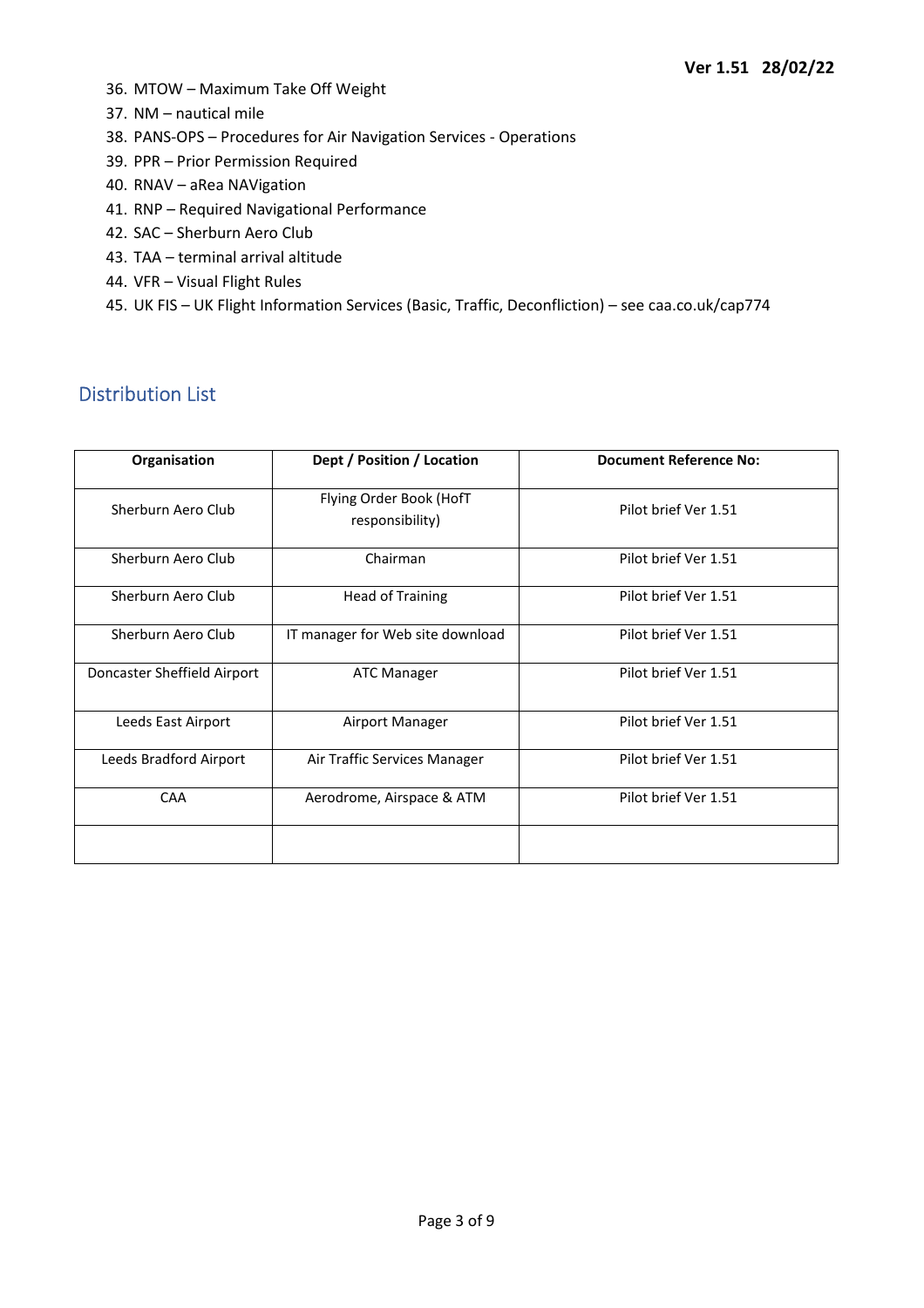- 36. MTOW Maximum Take Off Weight
- 37. NM nautical mile
- 38. PANS-OPS Procedures for Air Navigation Services Operations
- 39. PPR Prior Permission Required
- 40. RNAV aRea NAVigation
- 41. RNP Required Navigational Performance
- 42. SAC Sherburn Aero Club
- 43. TAA terminal arrival altitude
- 44. VFR Visual Flight Rules
- 45. UK FIS UK Flight Information Services (Basic, Traffic, Deconfliction) see caa.co.uk/cap774

## Distribution List

| Organisation                | Dept / Position / Location                                         | <b>Document Reference No:</b> |  |
|-----------------------------|--------------------------------------------------------------------|-------------------------------|--|
| Sherburn Aero Club          | Flying Order Book (HofT<br>Pilot brief Ver 1.51<br>responsibility) |                               |  |
| Sherburn Aero Club          | Chairman                                                           | Pilot brief Ver 1.51          |  |
| Sherburn Aero Club          | <b>Head of Training</b>                                            | Pilot brief Ver 1.51          |  |
| Sherburn Aero Club          | IT manager for Web site download                                   | Pilot brief Ver 1.51          |  |
| Doncaster Sheffield Airport | <b>ATC Manager</b>                                                 | Pilot brief Ver 1.51          |  |
| Leeds East Airport          | Airport Manager                                                    | Pilot brief Ver 1.51          |  |
| Leeds Bradford Airport      | Air Traffic Services Manager                                       | Pilot brief Ver 1.51          |  |
| CAA                         | Aerodrome, Airspace & ATM                                          | Pilot brief Ver 1.51          |  |
|                             |                                                                    |                               |  |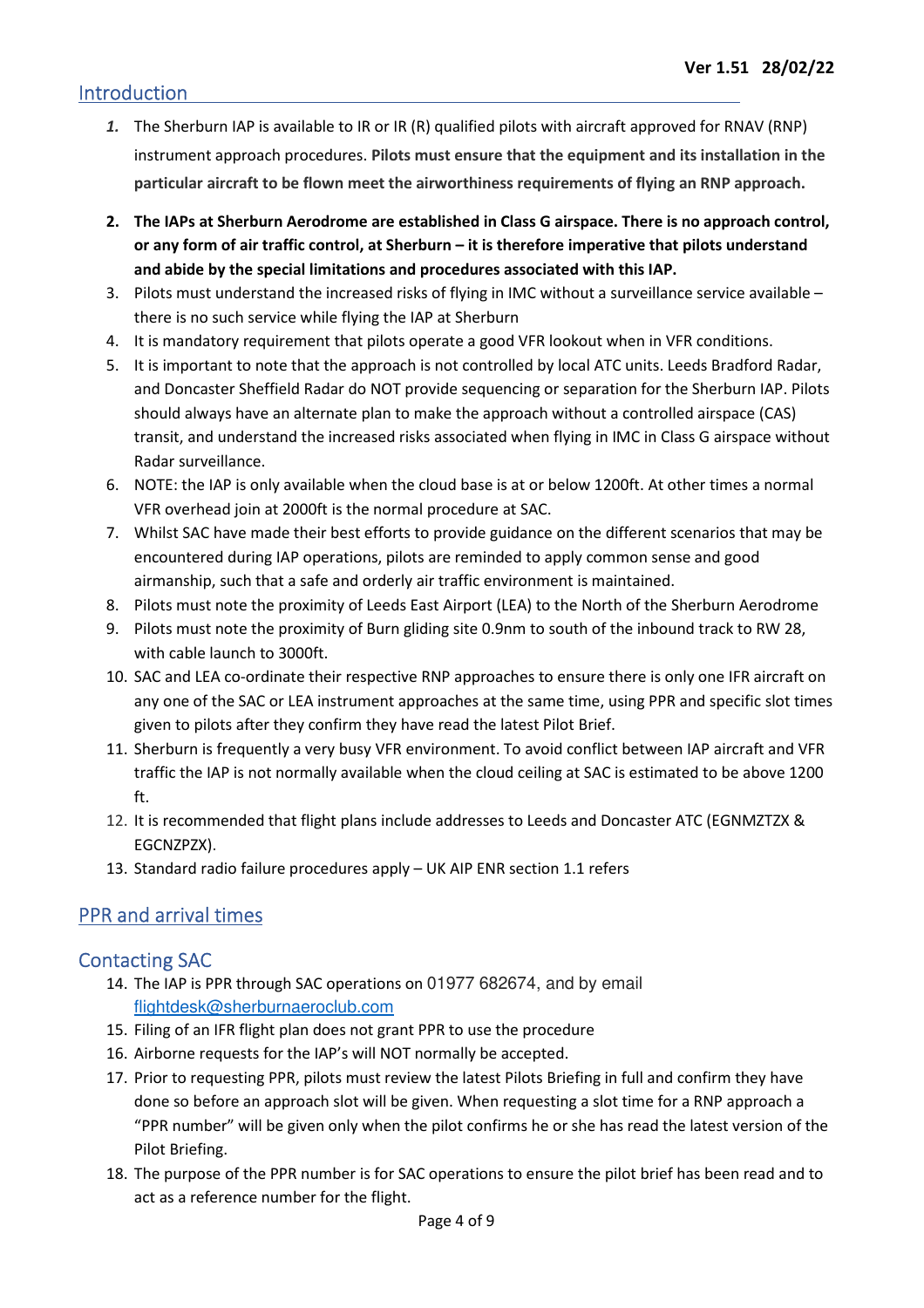## Introduction

- *1.* The Sherburn IAP is available to IR or IR (R) qualified pilots with aircraft approved for RNAV (RNP) instrument approach procedures. **Pilots must ensure that the equipment and its installation in the particular aircraft to be flown meet the airworthiness requirements of flying an RNP approach.**
- **2. The IAPs at Sherburn Aerodrome are established in Class G airspace. There is no approach control, or any form of air traffic control, at Sherburn – it is therefore imperative that pilots understand and abide by the special limitations and procedures associated with this IAP.**
- 3. Pilots must understand the increased risks of flying in IMC without a surveillance service available there is no such service while flying the IAP at Sherburn
- 4. It is mandatory requirement that pilots operate a good VFR lookout when in VFR conditions.
- 5. It is important to note that the approach is not controlled by local ATC units. Leeds Bradford Radar, and Doncaster Sheffield Radar do NOT provide sequencing or separation for the Sherburn IAP. Pilots should always have an alternate plan to make the approach without a controlled airspace (CAS) transit, and understand the increased risks associated when flying in IMC in Class G airspace without Radar surveillance.
- 6. NOTE: the IAP is only available when the cloud base is at or below 1200ft. At other times a normal VFR overhead join at 2000ft is the normal procedure at SAC.
- 7. Whilst SAC have made their best efforts to provide guidance on the different scenarios that may be encountered during IAP operations, pilots are reminded to apply common sense and good airmanship, such that a safe and orderly air traffic environment is maintained.
- 8. Pilots must note the proximity of Leeds East Airport (LEA) to the North of the Sherburn Aerodrome
- 9. Pilots must note the proximity of Burn gliding site 0.9nm to south of the inbound track to RW 28, with cable launch to 3000ft.
- 10. SAC and LEA co-ordinate their respective RNP approaches to ensure there is only one IFR aircraft on any one of the SAC or LEA instrument approaches at the same time, using PPR and specific slot times given to pilots after they confirm they have read the latest Pilot Brief.
- 11. Sherburn is frequently a very busy VFR environment. To avoid conflict between IAP aircraft and VFR traffic the IAP is not normally available when the cloud ceiling at SAC is estimated to be above 1200 ft.
- 12. It is recommended that flight plans include addresses to Leeds and Doncaster ATC (EGNMZTZX & EGCNZPZX).
- 13. Standard radio failure procedures apply UK AIP ENR section 1.1 refers

## PPR and arrival times

## Contacting SAC

- 14. The IAP is PPR through SAC operations on 01977 682674, and by email flightdesk@sherburnaeroclub.com
- 15. Filing of an IFR flight plan does not grant PPR to use the procedure
- 16. Airborne requests for the IAP's will NOT normally be accepted.
- 17. Prior to requesting PPR, pilots must review the latest Pilots Briefing in full and confirm they have done so before an approach slot will be given. When requesting a slot time for a RNP approach a "PPR number" will be given only when the pilot confirms he or she has read the latest version of the Pilot Briefing.
- 18. The purpose of the PPR number is for SAC operations to ensure the pilot brief has been read and to act as a reference number for the flight.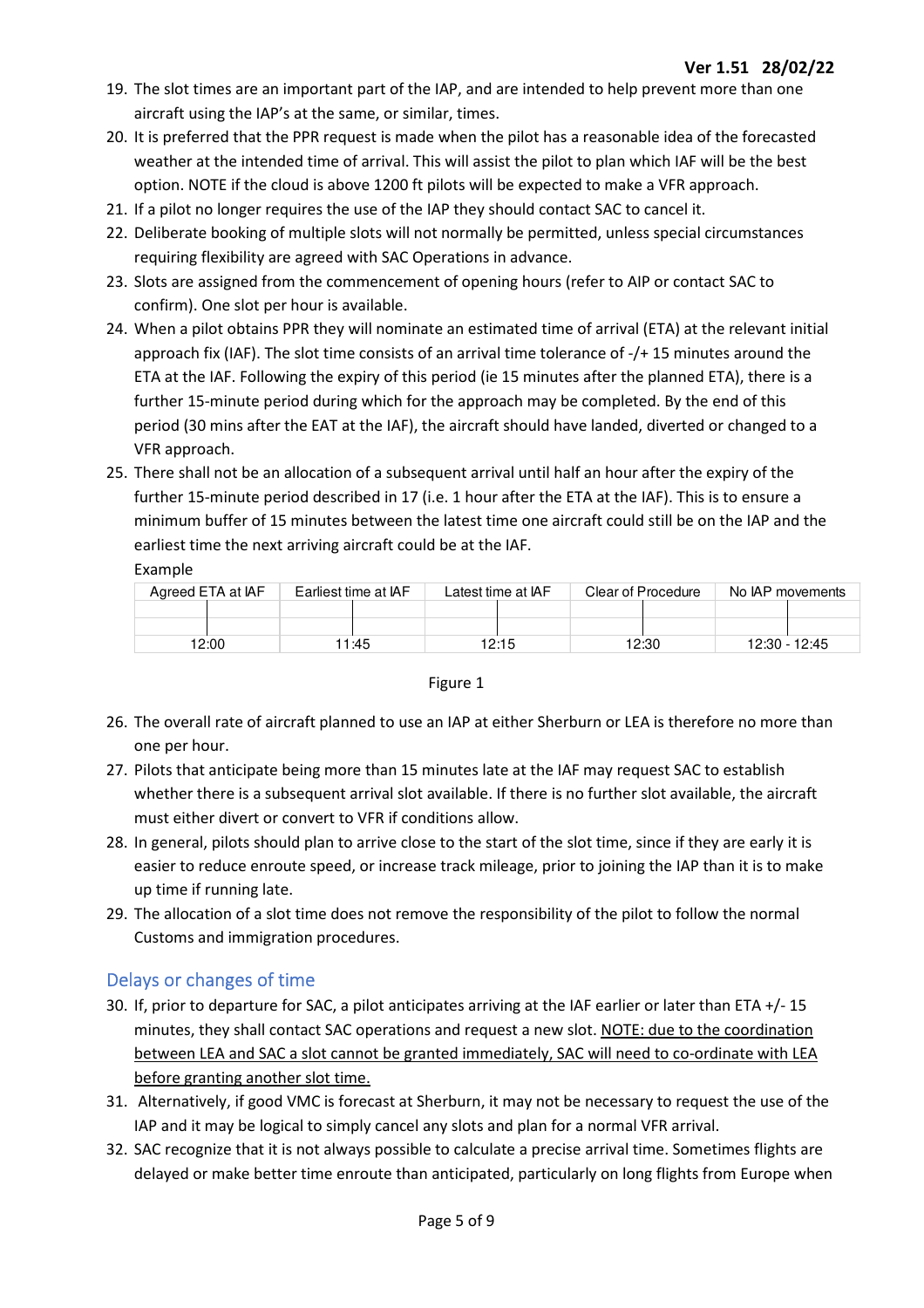- 19. The slot times are an important part of the IAP, and are intended to help prevent more than one aircraft using the IAP's at the same, or similar, times.
- 20. It is preferred that the PPR request is made when the pilot has a reasonable idea of the forecasted weather at the intended time of arrival. This will assist the pilot to plan which IAF will be the best option. NOTE if the cloud is above 1200 ft pilots will be expected to make a VFR approach.
- 21. If a pilot no longer requires the use of the IAP they should contact SAC to cancel it.
- 22. Deliberate booking of multiple slots will not normally be permitted, unless special circumstances requiring flexibility are agreed with SAC Operations in advance.
- 23. Slots are assigned from the commencement of opening hours (refer to AIP or contact SAC to confirm). One slot per hour is available.
- 24. When a pilot obtains PPR they will nominate an estimated time of arrival (ETA) at the relevant initial approach fix (IAF). The slot time consists of an arrival time tolerance of -/+ 15 minutes around the ETA at the IAF. Following the expiry of this period (ie 15 minutes after the planned ETA), there is a further 15-minute period during which for the approach may be completed. By the end of this period (30 mins after the EAT at the IAF), the aircraft should have landed, diverted or changed to a VFR approach.
- 25. There shall not be an allocation of a subsequent arrival until half an hour after the expiry of the further 15-minute period described in 17 (i.e. 1 hour after the ETA at the IAF). This is to ensure a minimum buffer of 15 minutes between the latest time one aircraft could still be on the IAP and the earliest time the next arriving aircraft could be at the IAF. Example

| Agreed ETA at IAF | Earliest time at IAF | Latest time at IAF | Clear of Procedure | No IAP movements |
|-------------------|----------------------|--------------------|--------------------|------------------|
|                   |                      |                    |                    |                  |
|                   |                      |                    |                    |                  |
| 12:00             | 1:45                 | 12:15              | 12:30              | 12:30 - 12:45    |

#### Figure 1

- 26. The overall rate of aircraft planned to use an IAP at either Sherburn or LEA is therefore no more than one per hour.
- 27. Pilots that anticipate being more than 15 minutes late at the IAF may request SAC to establish whether there is a subsequent arrival slot available. If there is no further slot available, the aircraft must either divert or convert to VFR if conditions allow.
- 28. In general, pilots should plan to arrive close to the start of the slot time, since if they are early it is easier to reduce enroute speed, or increase track mileage, prior to joining the IAP than it is to make up time if running late.
- 29. The allocation of a slot time does not remove the responsibility of the pilot to follow the normal Customs and immigration procedures.

## Delays or changes of time

- 30. If, prior to departure for SAC, a pilot anticipates arriving at the IAF earlier or later than ETA +/- 15 minutes, they shall contact SAC operations and request a new slot. NOTE: due to the coordination between LEA and SAC a slot cannot be granted immediately, SAC will need to co-ordinate with LEA before granting another slot time.
- 31. Alternatively, if good VMC is forecast at Sherburn, it may not be necessary to request the use of the IAP and it may be logical to simply cancel any slots and plan for a normal VFR arrival.
- 32. SAC recognize that it is not always possible to calculate a precise arrival time. Sometimes flights are delayed or make better time enroute than anticipated, particularly on long flights from Europe when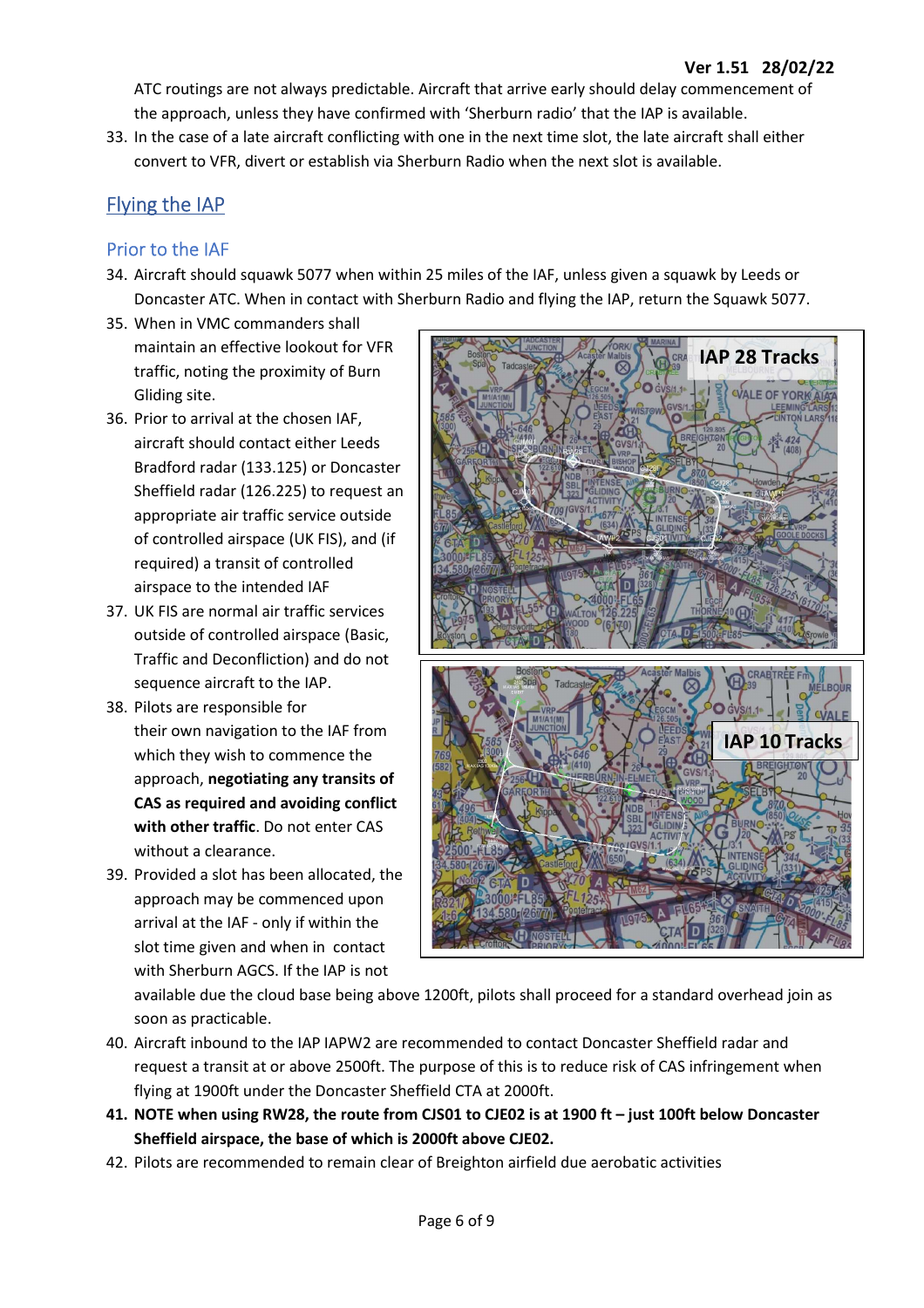ATC routings are not always predictable. Aircraft that arrive early should delay commencement of the approach, unless they have confirmed with 'Sherburn radio' that the IAP is available.

33. In the case of a late aircraft conflicting with one in the next time slot, the late aircraft shall either convert to VFR, divert or establish via Sherburn Radio when the next slot is available.

## Flying the IAP

## Prior to the IAF

- 34. Aircraft should squawk 5077 when within 25 miles of the IAF, unless given a squawk by Leeds or Doncaster ATC. When in contact with Sherburn Radio and flying the IAP, return the Squawk 5077.
- 35. When in VMC commanders shall maintain an effective lookout for VFR traffic, noting the proximity of Burn Gliding site.
- 36. Prior to arrival at the chosen IAF, aircraft should contact either Leeds Bradford radar (133.125) or Doncaster Sheffield radar (126.225) to request an appropriate air traffic service outside of controlled airspace (UK FIS), and (if required) a transit of controlled airspace to the intended IAF
- 37. UK FIS are normal air traffic services outside of controlled airspace (Basic, Traffic and Deconfliction) and do not sequence aircraft to the IAP.
- 38. Pilots are responsible for their own navigation to the IAF from which they wish to commence the approach, **negotiating any transits of CAS as required and avoiding conflict with other traffic**. Do not enter CAS without a clearance.
- 39. Provided a slot has been allocated, the approach may be commenced upon arrival at the IAF - only if within the slot time given and when in contact with Sherburn AGCS. If the IAP is not



available due the cloud base being above 1200ft, pilots shall proceed for a standard overhead join as soon as practicable.

- 40. Aircraft inbound to the IAP IAPW2 are recommended to contact Doncaster Sheffield radar and request a transit at or above 2500ft. The purpose of this is to reduce risk of CAS infringement when flying at 1900ft under the Doncaster Sheffield CTA at 2000ft.
- **41. NOTE when using RW28, the route from CJS01 to CJE02 is at 1900 ft just 100ft below Doncaster Sheffield airspace, the base of which is 2000ft above CJE02.**
- 42. Pilots are recommended to remain clear of Breighton airfield due aerobatic activities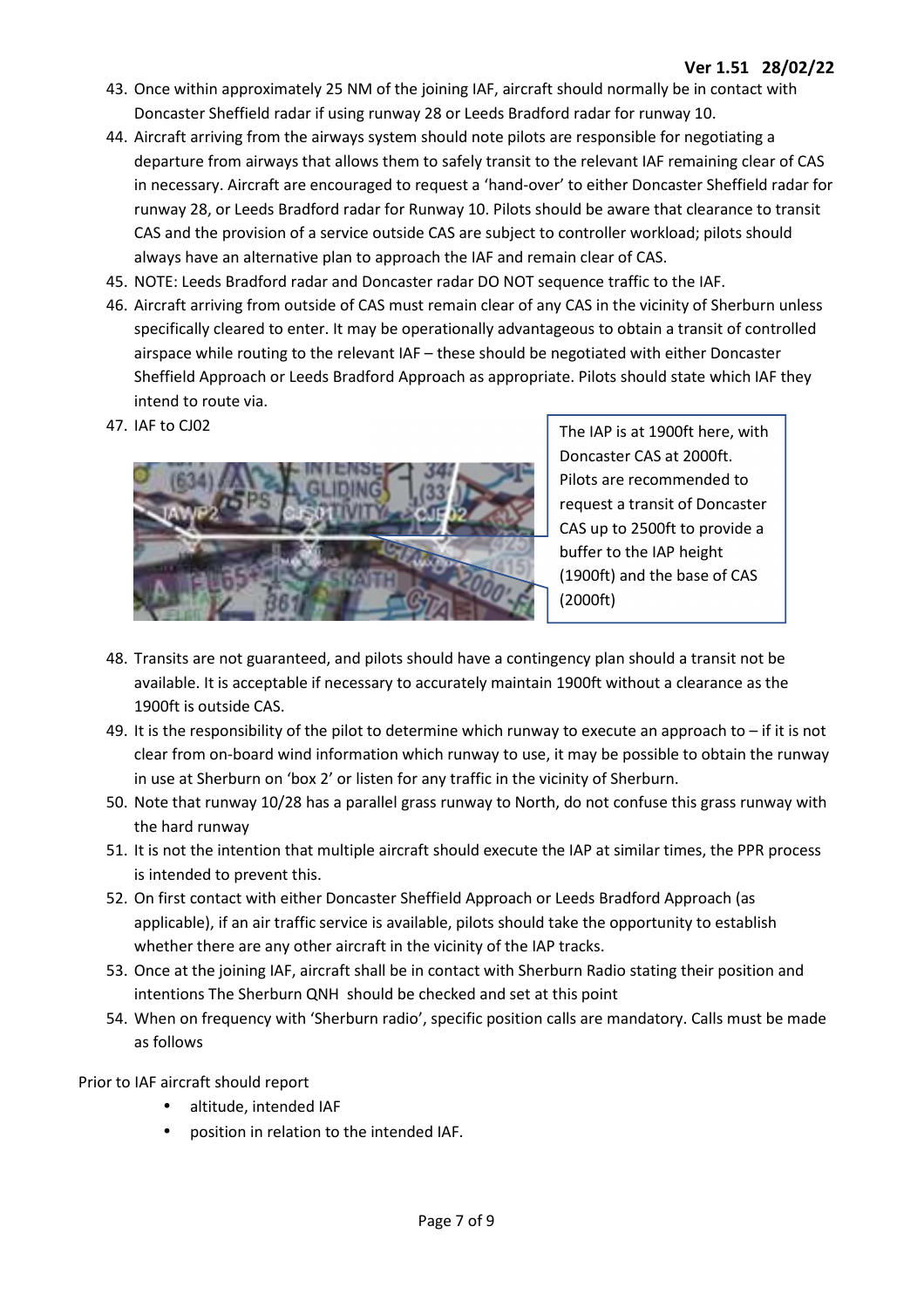- 43. Once within approximately 25 NM of the joining IAF, aircraft should normally be in contact with Doncaster Sheffield radar if using runway 28 or Leeds Bradford radar for runway 10.
- 44. Aircraft arriving from the airways system should note pilots are responsible for negotiating a departure from airways that allows them to safely transit to the relevant IAF remaining clear of CAS in necessary. Aircraft are encouraged to request a 'hand-over' to either Doncaster Sheffield radar for runway 28, or Leeds Bradford radar for Runway 10. Pilots should be aware that clearance to transit CAS and the provision of a service outside CAS are subject to controller workload; pilots should always have an alternative plan to approach the IAF and remain clear of CAS.
- 45. NOTE: Leeds Bradford radar and Doncaster radar DO NOT sequence traffic to the IAF.
- 46. Aircraft arriving from outside of CAS must remain clear of any CAS in the vicinity of Sherburn unless specifically cleared to enter. It may be operationally advantageous to obtain a transit of controlled airspace while routing to the relevant IAF – these should be negotiated with either Doncaster Sheffield Approach or Leeds Bradford Approach as appropriate. Pilots should state which IAF they intend to route via.
- 47. IAF to CJ02



The IAP is at 1900ft here, with Doncaster CAS at 2000ft. Pilots are recommended to request a transit of Doncaster CAS up to 2500ft to provide a buffer to the IAP height (1900ft) and the base of CAS (2000ft)

- 48. Transits are not guaranteed, and pilots should have a contingency plan should a transit not be available. It is acceptable if necessary to accurately maintain 1900ft without a clearance as the 1900ft is outside CAS.
- 49. It is the responsibility of the pilot to determine which runway to execute an approach to if it is not clear from on-board wind information which runway to use, it may be possible to obtain the runway in use at Sherburn on 'box 2' or listen for any traffic in the vicinity of Sherburn.
- 50. Note that runway 10/28 has a parallel grass runway to North, do not confuse this grass runway with the hard runway
- 51. It is not the intention that multiple aircraft should execute the IAP at similar times, the PPR process is intended to prevent this.
- 52. On first contact with either Doncaster Sheffield Approach or Leeds Bradford Approach (as applicable), if an air traffic service is available, pilots should take the opportunity to establish whether there are any other aircraft in the vicinity of the IAP tracks.
- 53. Once at the joining IAF, aircraft shall be in contact with Sherburn Radio stating their position and intentions The Sherburn QNH should be checked and set at this point
- 54. When on frequency with 'Sherburn radio', specific position calls are mandatory. Calls must be made as follows

Prior to IAF aircraft should report

- altitude, intended IAF
- position in relation to the intended IAF.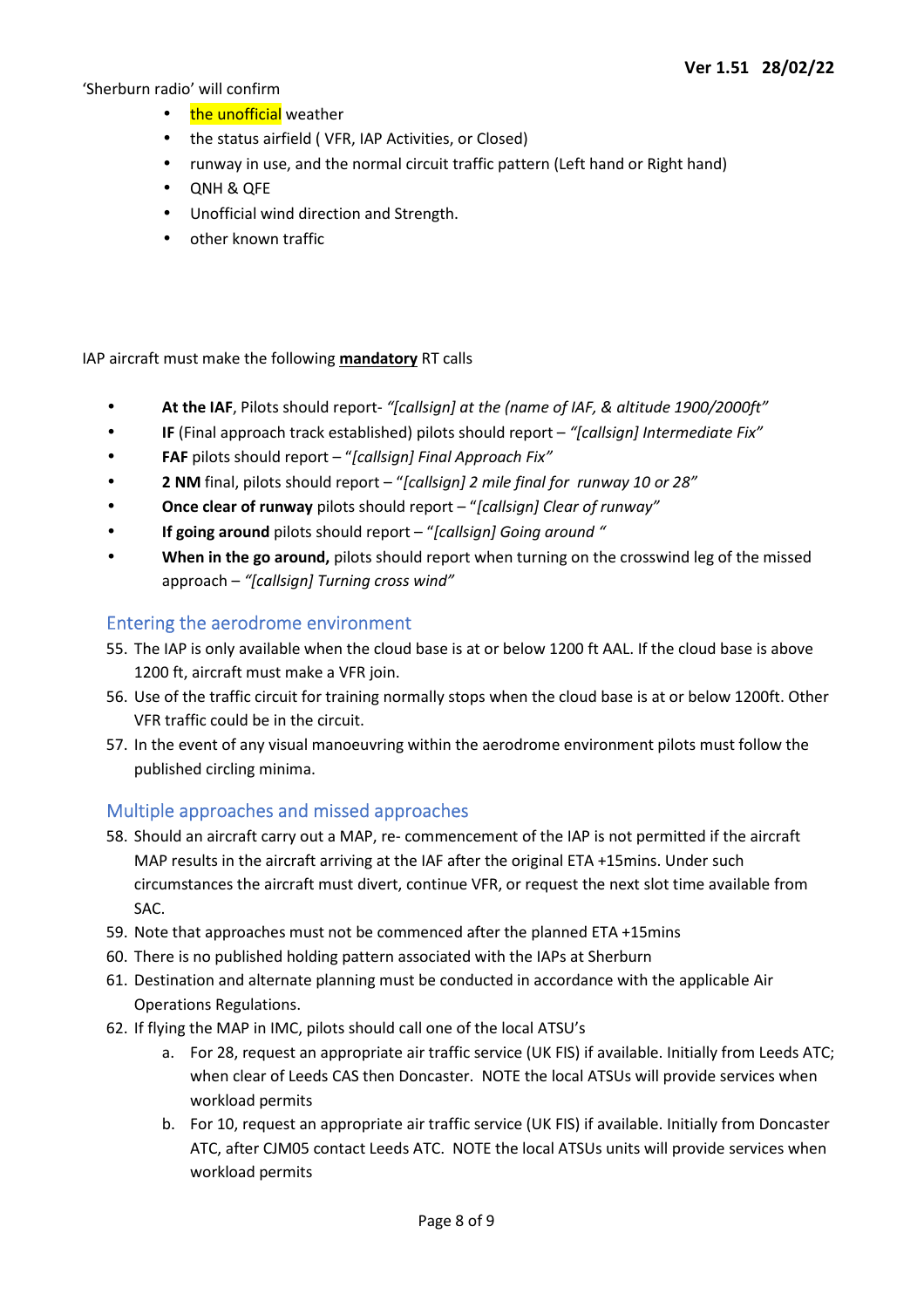'Sherburn radio' will confirm

- the unofficial weather
- the status airfield ( VFR, IAP Activities, or Closed)
- runway in use, and the normal circuit traffic pattern (Left hand or Right hand)
- QNH & QFE
- Unofficial wind direction and Strength.
- other known traffic

IAP aircraft must make the following **mandatory** RT calls

- **At the IAF**, Pilots should report- *"[callsign] at the (name of IAF, & altitude 1900/2000ft"*
- **IF** (Final approach track established) pilots should report *"[callsign] Intermediate Fix"*
- **FAF** pilots should report "*[callsign] Final Approach Fix"*
- **2 NM** final, pilots should report "*[callsign] 2 mile final for runway 10 or 28"*
- **Once clear of runway** pilots should report "*[callsign] Clear of runway"*
- **If going around** pilots should report "*[callsign] Going around "*
- **When in the go around,** pilots should report when turning on the crosswind leg of the missed approach – *"[callsign] Turning cross wind"*

## Entering the aerodrome environment

- 55. The IAP is only available when the cloud base is at or below 1200 ft AAL. If the cloud base is above 1200 ft, aircraft must make a VFR join.
- 56. Use of the traffic circuit for training normally stops when the cloud base is at or below 1200ft. Other VFR traffic could be in the circuit.
- 57. In the event of any visual manoeuvring within the aerodrome environment pilots must follow the published circling minima.

## Multiple approaches and missed approaches

- 58. Should an aircraft carry out a MAP, re- commencement of the IAP is not permitted if the aircraft MAP results in the aircraft arriving at the IAF after the original ETA +15mins. Under such circumstances the aircraft must divert, continue VFR, or request the next slot time available from SAC.
- 59. Note that approaches must not be commenced after the planned ETA +15mins
- 60. There is no published holding pattern associated with the IAPs at Sherburn
- 61. Destination and alternate planning must be conducted in accordance with the applicable Air Operations Regulations.
- 62. If flying the MAP in IMC, pilots should call one of the local ATSU's
	- a. For 28, request an appropriate air traffic service (UK FIS) if available. Initially from Leeds ATC; when clear of Leeds CAS then Doncaster. NOTE the local ATSUs will provide services when workload permits
	- b. For 10, request an appropriate air traffic service (UK FIS) if available. Initially from Doncaster ATC, after CJM05 contact Leeds ATC. NOTE the local ATSUs units will provide services when workload permits